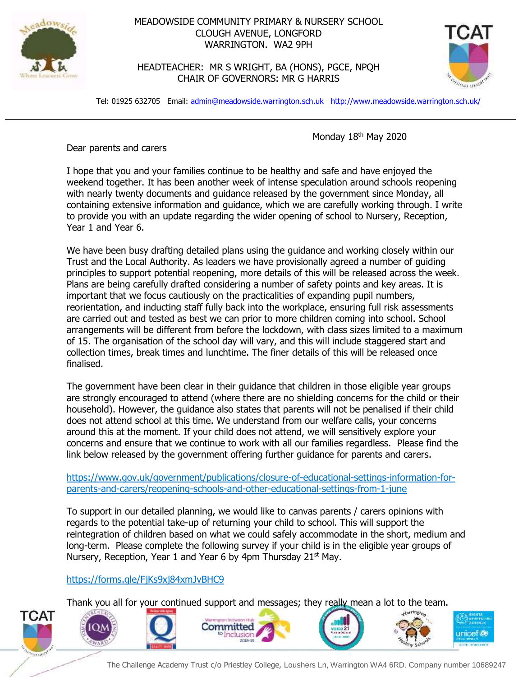

## MEADOWSIDE COMMUNITY PRIMARY & NURSERY SCHOOL CLOUGH AVENUE, LONGFORD WARRINGTON. WA2 9PH

HEADTEACHER: MR S WRIGHT, BA (HONS), PGCE, NPQH CHAIR OF GOVERNORS: MR G HARRIS



Tel: 01925 632705 Email: [admin@meadowside.warrington.sch.uk](mailto:admin@meadowside.warrington.sch.uk) <http://www.meadowside.warrington.sch.uk/>

Monday 18<sup>th</sup> May 2020

Dear parents and carers

I hope that you and your families continue to be healthy and safe and have enjoyed the weekend together. It has been another week of intense speculation around schools reopening with nearly twenty documents and guidance released by the government since Monday, all containing extensive information and guidance, which we are carefully working through. I write to provide you with an update regarding the wider opening of school to Nursery, Reception, Year 1 and Year 6.

We have been busy drafting detailed plans using the guidance and working closely within our Trust and the Local Authority. As leaders we have provisionally agreed a number of guiding principles to support potential reopening, more details of this will be released across the week. Plans are being carefully drafted considering a number of safety points and key areas. It is important that we focus cautiously on the practicalities of expanding pupil numbers, reorientation, and inducting staff fully back into the workplace, ensuring full risk assessments are carried out and tested as best we can prior to more children coming into school. School arrangements will be different from before the lockdown, with class sizes limited to a maximum of 15. The organisation of the school day will vary, and this will include staggered start and collection times, break times and lunchtime. The finer details of this will be released once finalised.

The government have been clear in their guidance that children in those eligible year groups are strongly encouraged to attend (where there are no shielding concerns for the child or their household). However, the guidance also states that parents will not be penalised if their child does not attend school at this time. We understand from our welfare calls, your concerns around this at the moment. If your child does not attend, we will sensitively explore your concerns and ensure that we continue to work with all our families regardless. Please find the link below released by the government offering further guidance for parents and carers.

[https://www.gov.uk/government/publications/closure-of-educational-settings-information-for](https://www.gov.uk/government/publications/closure-of-educational-settings-information-for-parents-and-carers/reopening-schools-and-other-educational-settings-from-1-june)[parents-and-carers/reopening-schools-and-other-educational-settings-from-1-june](https://www.gov.uk/government/publications/closure-of-educational-settings-information-for-parents-and-carers/reopening-schools-and-other-educational-settings-from-1-june)

To support in our detailed planning, we would like to canvas parents / carers opinions with regards to the potential take-up of returning your child to school. This will support the reintegration of children based on what we could safely accommodate in the short, medium and long-term. Please complete the following survey if your child is in the eligible year groups of Nursery, Reception, Year 1 and Year 6 by 4pm Thursday  $21<sup>st</sup>$  May.

## <https://forms.gle/FjKs9xj84xmJvBHC9>

Thank you all for your continued support and messages; they really mean a lot to the team.



The Challenge Academy Trust c/o Priestley College, Loushers Ln, Warrington WA4 6RD. Company number 10689247